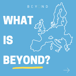

# IS BEYOND?

WHAT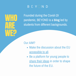WHO. ARE WE?

Founded during the Covid-19 pandemic, BEYOND is a **blog** led by students from different backgrounds.

#### Our AIM?

- Make the discussion about the EU accessible to all.
- Be a platform for young people to share their ideas in order to shape the future of the EU.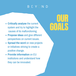- **Critically analyse** the current system and try to highlight the causes of its malfunctioning.
- **Propose ideas** and give different perspectives on current issues.
- **Spread the word** on new projects or initiatives striving to create a positive change.
- **Provide information** on EU institutions and understand how they can be innovated.

### **OUR** GOALS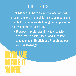**BEYOND** aims to have an international working structure, functioning mainly online. Members and contributors communicate through video platforms. Our main forms of action are:

• Blog posts, professionally written articles, social media posts, videos and interviews among others. **English** and **French** are our working languages.

HOW WE MAKE IT WORK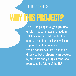## WHY THIS PROJECT?

The EU is going through a **political crisis**: it lacks innovation, modern solutions and a solid plan for the future. It has been losing significant support from the population. We do not believe that it has to be dissolved but **profoundly innovated**, by students and young citizens who represent the future of the EU.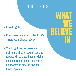WHAT

BELIEVE

WE

IN

- **Equal rights**
- **Fundamental values** (UDHR 1948 – European Charter 2000).
- The blog **does not** have any **political affiliation**. Analyses and reports will be based upon reliable sources. Different perspectives will be adopted in order to give the broader picture.